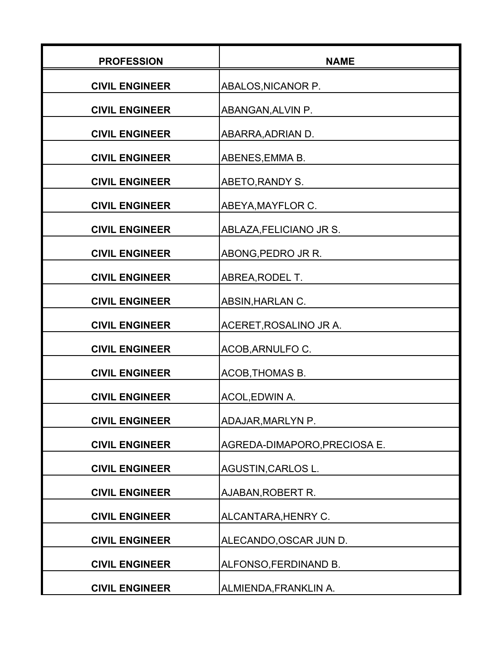| <b>PROFESSION</b>     | <b>NAME</b>                  |
|-----------------------|------------------------------|
| <b>CIVIL ENGINEER</b> | ABALOS, NICANOR P.           |
| <b>CIVIL ENGINEER</b> | ABANGAN, ALVIN P.            |
| <b>CIVIL ENGINEER</b> | ABARRA, ADRIAN D.            |
| <b>CIVIL ENGINEER</b> | ABENES, EMMA B.              |
| <b>CIVIL ENGINEER</b> | ABETO, RANDY S.              |
| <b>CIVIL ENGINEER</b> | ABEYA, MAYFLOR C.            |
| <b>CIVIL ENGINEER</b> | ABLAZA, FELICIANO JR S.      |
| <b>CIVIL ENGINEER</b> | ABONG, PEDRO JR R.           |
| <b>CIVIL ENGINEER</b> | ABREA, RODEL T.              |
| <b>CIVIL ENGINEER</b> | ABSIN, HARLAN C.             |
| <b>CIVIL ENGINEER</b> | ACERET, ROSALINO JR A.       |
| <b>CIVIL ENGINEER</b> | ACOB, ARNULFO C.             |
| <b>CIVIL ENGINEER</b> | ACOB, THOMAS B.              |
| <b>CIVIL ENGINEER</b> | ACOL, EDWIN A.               |
| <b>CIVIL ENGINEER</b> | ADAJAR, MARLYN P.            |
| <b>CIVIL ENGINEER</b> | AGREDA-DIMAPORO, PRECIOSA E. |
| <b>CIVIL ENGINEER</b> | AGUSTIN, CARLOS L.           |
| <b>CIVIL ENGINEER</b> | AJABAN, ROBERT R.            |
| <b>CIVIL ENGINEER</b> | ALCANTARA, HENRY C.          |
| <b>CIVIL ENGINEER</b> | ALECANDO, OSCAR JUN D.       |
| <b>CIVIL ENGINEER</b> | ALFONSO, FERDINAND B.        |
| <b>CIVIL ENGINEER</b> | ALMIENDA, FRANKLIN A.        |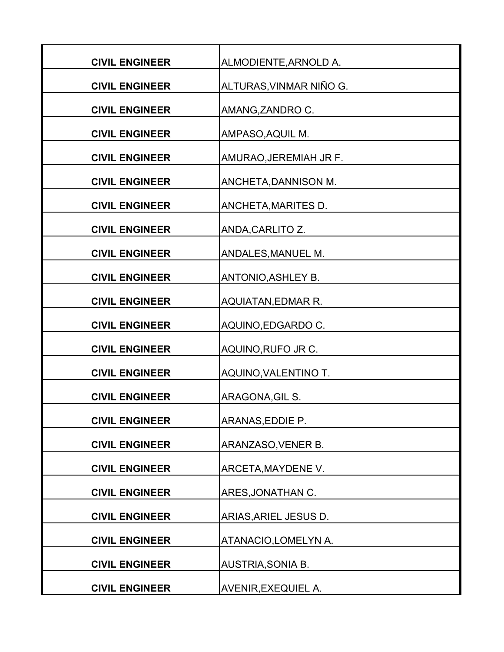| <b>CIVIL ENGINEER</b> | ALMODIENTE, ARNOLD A.      |
|-----------------------|----------------------------|
| <b>CIVIL ENGINEER</b> | ALTURAS, VINMAR NIÑO G.    |
| <b>CIVIL ENGINEER</b> | AMANG, ZANDRO C.           |
| <b>CIVIL ENGINEER</b> | AMPASO, AQUIL M.           |
| <b>CIVIL ENGINEER</b> | AMURAO, JEREMIAH JR F.     |
| <b>CIVIL ENGINEER</b> | ANCHETA, DANNISON M.       |
| <b>CIVIL ENGINEER</b> | ANCHETA, MARITES D.        |
| <b>CIVIL ENGINEER</b> | ANDA, CARLITO Z.           |
| <b>CIVIL ENGINEER</b> | ANDALES, MANUEL M.         |
| <b>CIVIL ENGINEER</b> | ANTONIO, ASHLEY B.         |
| <b>CIVIL ENGINEER</b> | <b>AQUIATAN, EDMAR R.</b>  |
| <b>CIVIL ENGINEER</b> | AQUINO, EDGARDO C.         |
| <b>CIVIL ENGINEER</b> | AQUINO, RUFO JR C.         |
| <b>CIVIL ENGINEER</b> | AQUINO, VALENTINO T.       |
| <b>CIVIL ENGINEER</b> | ARAGONA, GIL S.            |
| <b>CIVIL ENGINEER</b> | ARANAS, EDDIE P.           |
| <b>CIVIL ENGINEER</b> | ARANZASO, VENER B.         |
| <b>CIVIL ENGINEER</b> | ARCETA, MAYDENE V.         |
| <b>CIVIL ENGINEER</b> | ARES, JONATHAN C.          |
| <b>CIVIL ENGINEER</b> | ARIAS, ARIEL JESUS D.      |
| <b>CIVIL ENGINEER</b> | ATANACIO, LOMELYN A.       |
| <b>CIVIL ENGINEER</b> | AUSTRIA, SONIA B.          |
| <b>CIVIL ENGINEER</b> | <b>AVENIR, EXEQUIEL A.</b> |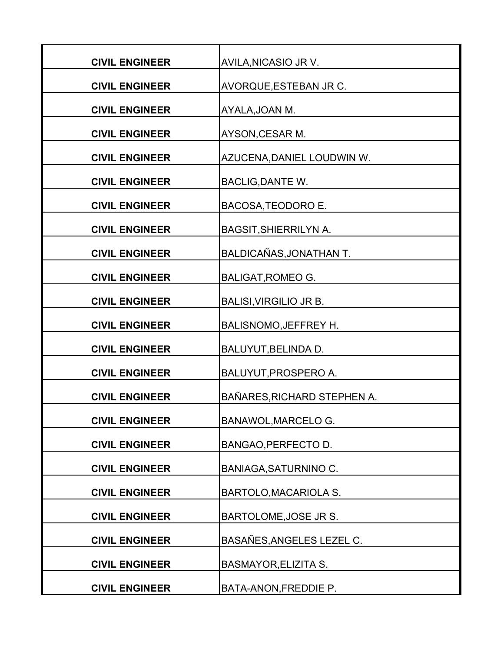| <b>CIVIL ENGINEER</b> | AVILA, NICASIO JR V.          |
|-----------------------|-------------------------------|
| <b>CIVIL ENGINEER</b> | AVORQUE, ESTEBAN JR C.        |
| <b>CIVIL ENGINEER</b> | AYALA, JOAN M.                |
| <b>CIVIL ENGINEER</b> | AYSON, CESAR M.               |
| <b>CIVIL ENGINEER</b> | AZUCENA, DANIEL LOUDWIN W.    |
| <b>CIVIL ENGINEER</b> | <b>BACLIG, DANTE W.</b>       |
| <b>CIVIL ENGINEER</b> | BACOSA, TEODORO E.            |
| <b>CIVIL ENGINEER</b> | <b>BAGSIT, SHIERRILYN A.</b>  |
| <b>CIVIL ENGINEER</b> | BALDICAÑAS, JONATHAN T.       |
| <b>CIVIL ENGINEER</b> | <b>BALIGAT, ROMEO G.</b>      |
| <b>CIVIL ENGINEER</b> | <b>BALISI, VIRGILIO JR B.</b> |
| <b>CIVIL ENGINEER</b> | <b>BALISNOMO, JEFFREY H.</b>  |
| <b>CIVIL ENGINEER</b> | BALUYUT, BELINDA D.           |
| <b>CIVIL ENGINEER</b> | BALUYUT, PROSPERO A.          |
| <b>CIVIL ENGINEER</b> | BAÑARES, RICHARD STEPHEN A.   |
| <b>CIVIL ENGINEER</b> | <b>BANAWOL, MARCELO G.</b>    |
| <b>CIVIL ENGINEER</b> | BANGAO, PERFECTO D.           |
| <b>CIVIL ENGINEER</b> | <b>BANIAGA, SATURNINO C.</b>  |
| <b>CIVIL ENGINEER</b> | <b>BARTOLO, MACARIOLA S.</b>  |
| <b>CIVIL ENGINEER</b> | BARTOLOME, JOSE JR S.         |
| <b>CIVIL ENGINEER</b> | BASAÑES, ANGELES LEZEL C.     |
| <b>CIVIL ENGINEER</b> | <b>BASMAYOR, ELIZITA S.</b>   |
| <b>CIVIL ENGINEER</b> | BATA-ANON, FREDDIE P.         |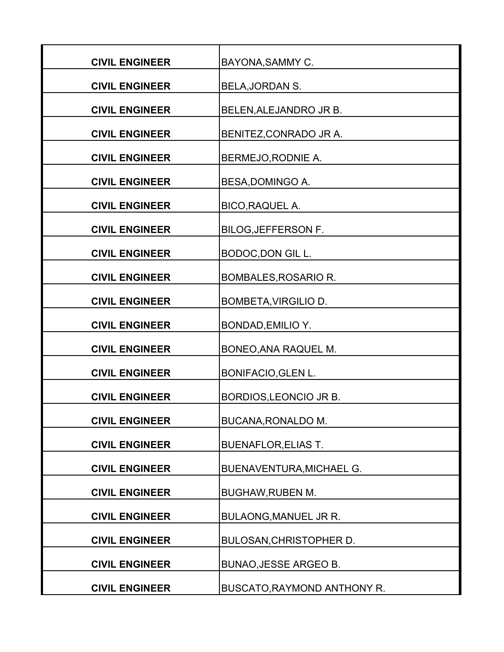| <b>CIVIL ENGINEER</b> | BAYONA, SAMMY C.                |
|-----------------------|---------------------------------|
| <b>CIVIL ENGINEER</b> | BELA, JORDAN S.                 |
| <b>CIVIL ENGINEER</b> | BELEN, ALEJANDRO JR B.          |
| <b>CIVIL ENGINEER</b> | BENITEZ, CONRADO JR A.          |
| <b>CIVIL ENGINEER</b> | BERMEJO, RODNIE A.              |
| <b>CIVIL ENGINEER</b> | BESA, DOMINGO A.                |
| <b>CIVIL ENGINEER</b> | BICO, RAQUEL A.                 |
| <b>CIVIL ENGINEER</b> | <b>BILOG, JEFFERSON F.</b>      |
| <b>CIVIL ENGINEER</b> | <b>BODOC, DON GIL L.</b>        |
| <b>CIVIL ENGINEER</b> | <b>BOMBALES, ROSARIO R.</b>     |
| <b>CIVIL ENGINEER</b> | <b>BOMBETA, VIRGILIO D.</b>     |
| <b>CIVIL ENGINEER</b> | BONDAD, EMILIO Y.               |
| <b>CIVIL ENGINEER</b> | BONEO, ANA RAQUEL M.            |
| <b>CIVIL ENGINEER</b> | <b>BONIFACIO, GLEN L.</b>       |
| <b>CIVIL ENGINEER</b> | BORDIOS, LEONCIO JR B.          |
| <b>CIVIL ENGINEER</b> | BUCANA, RONALDO M.              |
| <b>CIVIL ENGINEER</b> | <b>BUENAFLOR, ELIAS T.</b>      |
| <b>CIVIL ENGINEER</b> | <b>BUENAVENTURA, MICHAEL G.</b> |
| <b>CIVIL ENGINEER</b> | <b>BUGHAW, RUBEN M.</b>         |
| <b>CIVIL ENGINEER</b> | BULAONG, MANUEL JR R.           |
| <b>CIVIL ENGINEER</b> | <b>BULOSAN, CHRISTOPHER D.</b>  |
| <b>CIVIL ENGINEER</b> | <b>BUNAO, JESSE ARGEO B.</b>    |
| <b>CIVIL ENGINEER</b> | BUSCATO, RAYMOND ANTHONY R.     |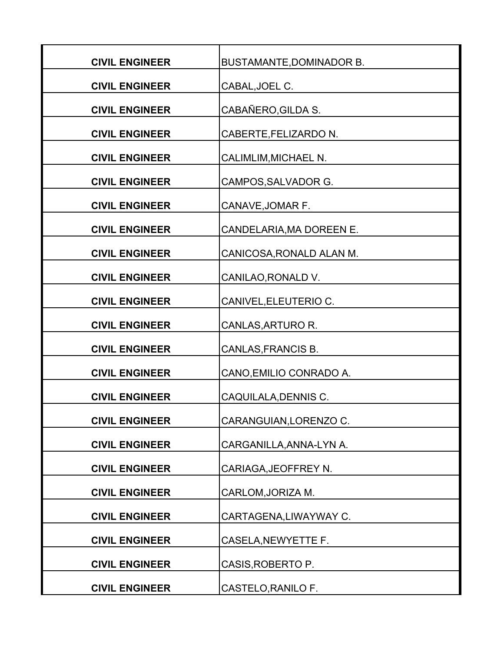| <b>CIVIL ENGINEER</b> | <b>BUSTAMANTE, DOMINADOR B.</b> |
|-----------------------|---------------------------------|
| <b>CIVIL ENGINEER</b> | CABAL, JOEL C.                  |
| <b>CIVIL ENGINEER</b> | CABAÑERO, GILDA S.              |
| <b>CIVIL ENGINEER</b> | CABERTE, FELIZARDO N.           |
| <b>CIVIL ENGINEER</b> | <b>CALIMLIM, MICHAEL N.</b>     |
| <b>CIVIL ENGINEER</b> | CAMPOS, SALVADOR G.             |
| <b>CIVIL ENGINEER</b> | CANAVE, JOMAR F.                |
| <b>CIVIL ENGINEER</b> | CANDELARIA, MA DOREEN E.        |
| <b>CIVIL ENGINEER</b> | CANICOSA, RONALD ALAN M.        |
| <b>CIVIL ENGINEER</b> | CANILAO, RONALD V.              |
| <b>CIVIL ENGINEER</b> | CANIVEL, ELEUTERIO C.           |
| <b>CIVIL ENGINEER</b> | CANLAS, ARTURO R.               |
| <b>CIVIL ENGINEER</b> | CANLAS, FRANCIS B.              |
| <b>CIVIL ENGINEER</b> | CANO, EMILIO CONRADO A.         |
| <b>CIVIL ENGINEER</b> | CAQUILALA, DENNIS C.            |
| <b>CIVIL ENGINEER</b> | CARANGUIAN, LORENZO C.          |
| <b>CIVIL ENGINEER</b> | CARGANILLA, ANNA-LYN A.         |
| <b>CIVIL ENGINEER</b> | CARIAGA, JEOFFREY N.            |
| <b>CIVIL ENGINEER</b> |                                 |
|                       | CARLOM, JORIZA M.               |
| <b>CIVIL ENGINEER</b> | CARTAGENA, LIWAYWAY C.          |
| <b>CIVIL ENGINEER</b> | CASELA, NEWYETTE F.             |
| <b>CIVIL ENGINEER</b> | CASIS, ROBERTO P.               |
| <b>CIVIL ENGINEER</b> | CASTELO, RANILO F.              |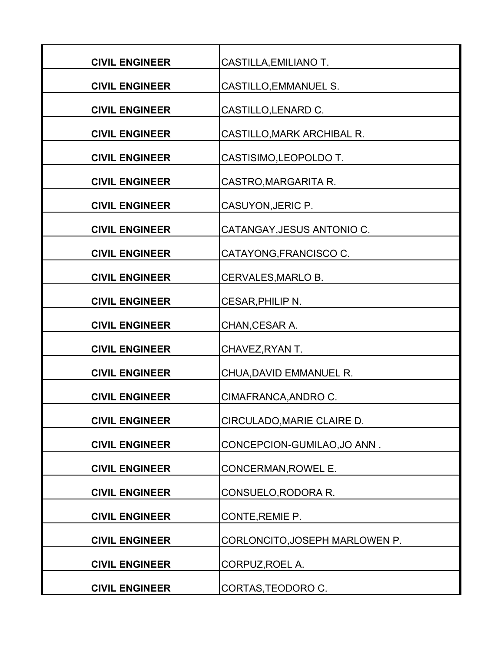| <b>CIVIL ENGINEER</b> | CASTILLA, EMILIANO T.          |
|-----------------------|--------------------------------|
| <b>CIVIL ENGINEER</b> | CASTILLO, EMMANUEL S.          |
| <b>CIVIL ENGINEER</b> | CASTILLO, LENARD C.            |
| <b>CIVIL ENGINEER</b> | CASTILLO, MARK ARCHIBAL R.     |
| <b>CIVIL ENGINEER</b> | CASTISIMO, LEOPOLDO T.         |
| <b>CIVIL ENGINEER</b> | CASTRO, MARGARITA R.           |
| <b>CIVIL ENGINEER</b> | CASUYON, JERIC P.              |
| <b>CIVIL ENGINEER</b> | CATANGAY, JESUS ANTONIO C.     |
| <b>CIVIL ENGINEER</b> | CATAYONG, FRANCISCO C.         |
| <b>CIVIL ENGINEER</b> | CERVALES, MARLO B.             |
| <b>CIVIL ENGINEER</b> | CESAR, PHILIP N.               |
| <b>CIVIL ENGINEER</b> | CHAN, CESAR A.                 |
| <b>CIVIL ENGINEER</b> | CHAVEZ, RYAN T.                |
| <b>CIVIL ENGINEER</b> | CHUA, DAVID EMMANUEL R.        |
| <b>CIVIL ENGINEER</b> | CIMAFRANCA, ANDRO C.           |
| <b>CIVIL ENGINEER</b> | CIRCULADO, MARIE CLAIRE D.     |
| <b>CIVIL ENGINEER</b> | CONCEPCION-GUMILAO, JO ANN.    |
| <b>CIVIL ENGINEER</b> | CONCERMAN, ROWEL E.            |
| <b>CIVIL ENGINEER</b> | CONSUELO, RODORA R.            |
| <b>CIVIL ENGINEER</b> | CONTE, REMIE P.                |
| <b>CIVIL ENGINEER</b> | CORLONCITO, JOSEPH MARLOWEN P. |
| <b>CIVIL ENGINEER</b> | CORPUZ, ROEL A.                |
| <b>CIVIL ENGINEER</b> | CORTAS, TEODORO C.             |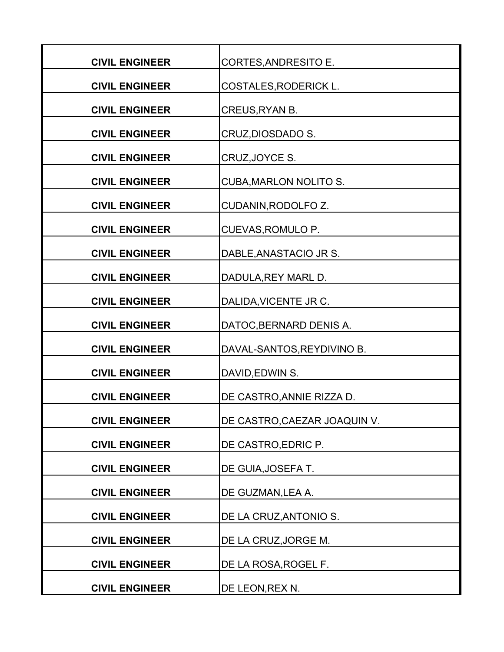| <b>CIVIL ENGINEER</b> | CORTES, ANDRESITO E.          |
|-----------------------|-------------------------------|
| <b>CIVIL ENGINEER</b> | <b>COSTALES, RODERICK L.</b>  |
| <b>CIVIL ENGINEER</b> | CREUS, RYAN B.                |
| <b>CIVIL ENGINEER</b> | CRUZ, DIOSDADO S.             |
| <b>CIVIL ENGINEER</b> | CRUZ, JOYCE S.                |
| <b>CIVIL ENGINEER</b> | <b>CUBA, MARLON NOLITO S.</b> |
| <b>CIVIL ENGINEER</b> | CUDANIN, RODOLFO Z.           |
| <b>CIVIL ENGINEER</b> | CUEVAS, ROMULO P.             |
| <b>CIVIL ENGINEER</b> | DABLE, ANASTACIO JR S.        |
| <b>CIVIL ENGINEER</b> | DADULA, REY MARL D.           |
| <b>CIVIL ENGINEER</b> | DALIDA, VICENTE JR C.         |
| <b>CIVIL ENGINEER</b> | DATOC, BERNARD DENIS A.       |
| <b>CIVIL ENGINEER</b> | DAVAL-SANTOS, REYDIVINO B.    |
| <b>CIVIL ENGINEER</b> | DAVID, EDWIN S.               |
| <b>CIVIL ENGINEER</b> | DE CASTRO, ANNIE RIZZA D.     |
| <b>CIVIL ENGINEER</b> | DE CASTRO, CAEZAR JOAQUIN V.  |
| <b>CIVIL ENGINEER</b> | DE CASTRO, EDRIC P.           |
| <b>CIVIL ENGINEER</b> | DE GUIA, JOSEFA T.            |
| <b>CIVIL ENGINEER</b> | DE GUZMAN, LEA A.             |
| <b>CIVIL ENGINEER</b> | DE LA CRUZ, ANTONIO S.        |
| <b>CIVIL ENGINEER</b> | DE LA CRUZ, JORGE M.          |
| <b>CIVIL ENGINEER</b> | DE LA ROSA, ROGEL F.          |
| <b>CIVIL ENGINEER</b> | DE LEON, REX N.               |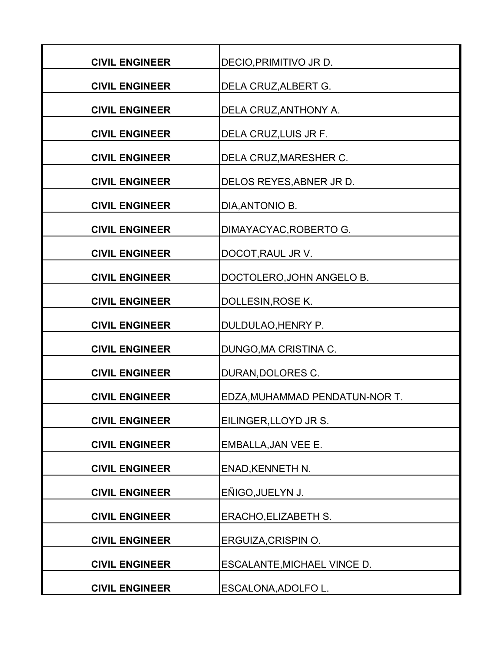| <b>CIVIL ENGINEER</b> | DECIO, PRIMITIVO JR D.         |
|-----------------------|--------------------------------|
| <b>CIVIL ENGINEER</b> | DELA CRUZ, ALBERT G.           |
| <b>CIVIL ENGINEER</b> | DELA CRUZ, ANTHONY A.          |
| <b>CIVIL ENGINEER</b> | DELA CRUZ, LUIS JR F.          |
| <b>CIVIL ENGINEER</b> | DELA CRUZ, MARESHER C.         |
| <b>CIVIL ENGINEER</b> | DELOS REYES, ABNER JR D.       |
| <b>CIVIL ENGINEER</b> | DIA, ANTONIO B.                |
| <b>CIVIL ENGINEER</b> | DIMAYACYAC, ROBERTO G.         |
| <b>CIVIL ENGINEER</b> | DOCOT, RAUL JR V.              |
| <b>CIVIL ENGINEER</b> | DOCTOLERO, JOHN ANGELO B.      |
| <b>CIVIL ENGINEER</b> | DOLLESIN, ROSE K.              |
| <b>CIVIL ENGINEER</b> | DULDULAO, HENRY P.             |
| <b>CIVIL ENGINEER</b> | DUNGO, MA CRISTINA C.          |
| <b>CIVIL ENGINEER</b> | DURAN, DOLORES C.              |
| <b>CIVIL ENGINEER</b> | EDZA, MUHAMMAD PENDATUN-NOR T. |
| <b>CIVIL ENGINEER</b> | EILINGER, LLOYD JR S.          |
| <b>CIVIL ENGINEER</b> | <b>EMBALLA, JAN VEE E.</b>     |
| <b>CIVIL ENGINEER</b> | <b>ENAD, KENNETH N.</b>        |
| <b>CIVIL ENGINEER</b> | EÑIGO, JUELYN J.               |
| <b>CIVIL ENGINEER</b> | <b>ERACHO, ELIZABETH S.</b>    |
| <b>CIVIL ENGINEER</b> | ERGUIZA, CRISPIN O.            |
| <b>CIVIL ENGINEER</b> | ESCALANTE, MICHAEL VINCE D.    |
| <b>CIVIL ENGINEER</b> | ESCALONA, ADOLFO L.            |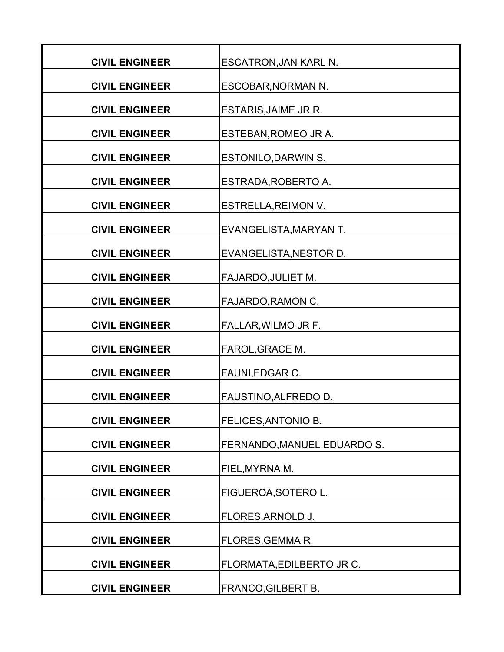| <b>CIVIL ENGINEER</b> | <b>ESCATRON, JAN KARL N.</b> |
|-----------------------|------------------------------|
| <b>CIVIL ENGINEER</b> | ESCOBAR, NORMAN N.           |
| <b>CIVIL ENGINEER</b> | <b>ESTARIS, JAIME JR R.</b>  |
| <b>CIVIL ENGINEER</b> | ESTEBAN, ROMEO JR A.         |
| <b>CIVIL ENGINEER</b> | <b>ESTONILO, DARWIN S.</b>   |
| <b>CIVIL ENGINEER</b> | ESTRADA, ROBERTO A.          |
| <b>CIVIL ENGINEER</b> | <b>ESTRELLA, REIMON V.</b>   |
| <b>CIVIL ENGINEER</b> | EVANGELISTA, MARYAN T.       |
| <b>CIVIL ENGINEER</b> | EVANGELISTA, NESTOR D.       |
| <b>CIVIL ENGINEER</b> | <b>FAJARDO, JULIET M.</b>    |
| <b>CIVIL ENGINEER</b> | FAJARDO, RAMON C.            |
| <b>CIVIL ENGINEER</b> | FALLAR, WILMO JR F.          |
| <b>CIVIL ENGINEER</b> | FAROL, GRACE M.              |
| <b>CIVIL ENGINEER</b> | FAUNI, EDGAR C.              |
| <b>CIVIL ENGINEER</b> | FAUSTINO, ALFREDO D.         |
| <b>CIVIL ENGINEER</b> | FELICES, ANTONIO B.          |
| <b>CIVIL ENGINEER</b> | FERNANDO, MANUEL EDUARDO S.  |
| <b>CIVIL ENGINEER</b> | FIEL, MYRNA M.               |
| <b>CIVIL ENGINEER</b> | FIGUEROA, SOTERO L.          |
| <b>CIVIL ENGINEER</b> | FLORES, ARNOLD J.            |
| <b>CIVIL ENGINEER</b> | <b>FLORES, GEMMA R.</b>      |
| <b>CIVIL ENGINEER</b> | FLORMATA, EDILBERTO JR C.    |
| <b>CIVIL ENGINEER</b> | FRANCO, GILBERT B.           |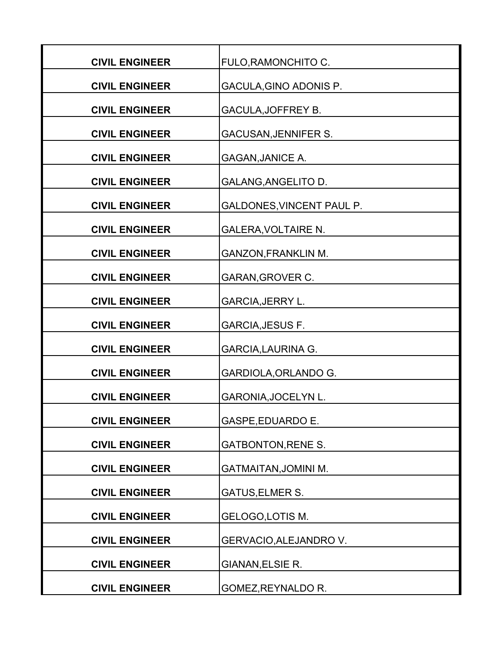| <b>CIVIL ENGINEER</b> | <b>FULO, RAMONCHITO C.</b>       |
|-----------------------|----------------------------------|
| <b>CIVIL ENGINEER</b> | GACULA, GINO ADONIS P.           |
|                       |                                  |
| <b>CIVIL ENGINEER</b> | GACULA, JOFFREY B.               |
| <b>CIVIL ENGINEER</b> | <b>GACUSAN, JENNIFER S.</b>      |
| <b>CIVIL ENGINEER</b> | <b>GAGAN, JANICE A.</b>          |
| <b>CIVIL ENGINEER</b> | GALANG, ANGELITO D.              |
| <b>CIVIL ENGINEER</b> | <b>GALDONES, VINCENT PAUL P.</b> |
| <b>CIVIL ENGINEER</b> | <b>GALERA, VOLTAIRE N.</b>       |
| <b>CIVIL ENGINEER</b> | <b>GANZON, FRANKLIN M.</b>       |
| <b>CIVIL ENGINEER</b> | <b>GARAN, GROVER C.</b>          |
| <b>CIVIL ENGINEER</b> | <b>GARCIA, JERRY L.</b>          |
| <b>CIVIL ENGINEER</b> | <b>GARCIA, JESUS F.</b>          |
| <b>CIVIL ENGINEER</b> | <b>GARCIA, LAURINA G.</b>        |
| <b>CIVIL ENGINEER</b> | GARDIOLA, ORLANDO G.             |
| <b>CIVIL ENGINEER</b> | <b>GARONIA, JOCELYN L.</b>       |
| <b>CIVIL ENGINEER</b> | <b>GASPE, EDUARDO E.</b>         |
| <b>CIVIL ENGINEER</b> | <b>GATBONTON, RENE S.</b>        |
| <b>CIVIL ENGINEER</b> | <b>GATMAITAN, JOMINI M.</b>      |
| <b>CIVIL ENGINEER</b> | <b>GATUS, ELMER S.</b>           |
| <b>CIVIL ENGINEER</b> | GELOGO, LOTIS M.                 |
| <b>CIVIL ENGINEER</b> | GERVACIO, ALEJANDRO V.           |
| <b>CIVIL ENGINEER</b> | GIANAN, ELSIE R.                 |
| <b>CIVIL ENGINEER</b> | GOMEZ, REYNALDO R.               |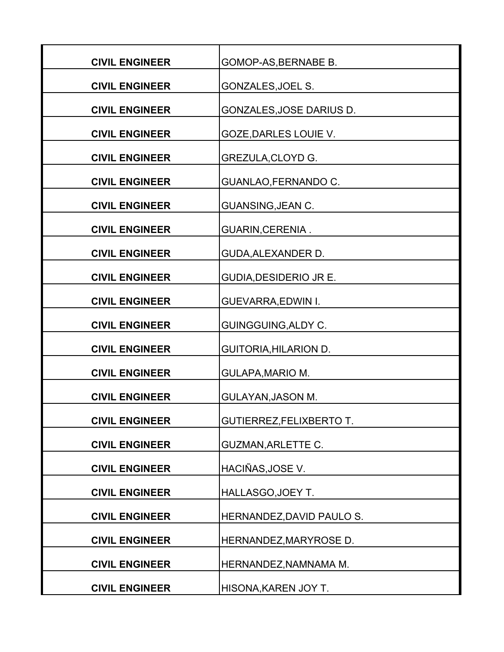| <b>CIVIL ENGINEER</b> | GOMOP-AS, BERNABE B.            |
|-----------------------|---------------------------------|
| <b>CIVIL ENGINEER</b> | GONZALES, JOEL S.               |
| <b>CIVIL ENGINEER</b> | GONZALES, JOSE DARIUS D.        |
| <b>CIVIL ENGINEER</b> | GOZE, DARLES LOUIE V.           |
| <b>CIVIL ENGINEER</b> | GREZULA, CLOYD G.               |
| <b>CIVIL ENGINEER</b> | GUANLAO, FERNANDO C.            |
| <b>CIVIL ENGINEER</b> | <b>GUANSING, JEAN C.</b>        |
| <b>CIVIL ENGINEER</b> | <b>GUARIN, CERENIA.</b>         |
| <b>CIVIL ENGINEER</b> | <b>GUDA, ALEXANDER D.</b>       |
| <b>CIVIL ENGINEER</b> | <b>GUDIA, DESIDERIO JR E.</b>   |
| <b>CIVIL ENGINEER</b> | <b>GUEVARRA, EDWIN I.</b>       |
| <b>CIVIL ENGINEER</b> | <b>GUINGGUING, ALDY C.</b>      |
| <b>CIVIL ENGINEER</b> | <b>GUITORIA, HILARION D.</b>    |
| <b>CIVIL ENGINEER</b> | <b>GULAPA, MARIO M.</b>         |
| <b>CIVIL ENGINEER</b> | <b>GULAYAN, JASON M.</b>        |
| <b>CIVIL ENGINEER</b> | <b>GUTIERREZ, FELIXBERTO T.</b> |
| <b>CIVIL ENGINEER</b> | <b>GUZMAN, ARLETTE C.</b>       |
| <b>CIVIL ENGINEER</b> | HACIÑAS, JOSE V.                |
| <b>CIVIL ENGINEER</b> | HALLASGO, JOEY T.               |
| <b>CIVIL ENGINEER</b> | HERNANDEZ, DAVID PAULO S.       |
| <b>CIVIL ENGINEER</b> | HERNANDEZ, MARYROSE D.          |
| <b>CIVIL ENGINEER</b> | HERNANDEZ, NAMNAMA M.           |
| <b>CIVIL ENGINEER</b> | HISONA, KAREN JOY T.            |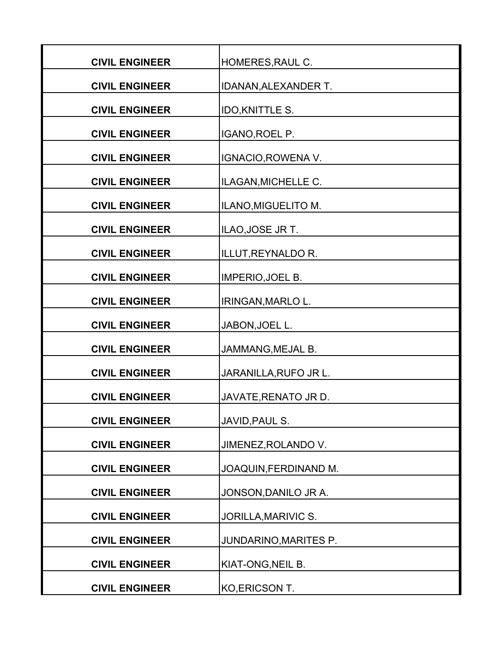| <b>CIVIL ENGINEER</b> | HOMERES, RAUL C.            |
|-----------------------|-----------------------------|
| <b>CIVIL ENGINEER</b> | <b>IDANAN, ALEXANDER T.</b> |
| <b>CIVIL ENGINEER</b> | <b>IDO, KNITTLE S.</b>      |
| <b>CIVIL ENGINEER</b> | IGANO, ROEL P.              |
| <b>CIVIL ENGINEER</b> | IGNACIO, ROWENA V.          |
| <b>CIVIL ENGINEER</b> | ILAGAN, MICHELLE C.         |
| <b>CIVIL ENGINEER</b> | ILANO, MIGUELITO M.         |
| <b>CIVIL ENGINEER</b> | ILAO, JOSE JR T.            |
| <b>CIVIL ENGINEER</b> | ILLUT, REYNALDO R.          |
| <b>CIVIL ENGINEER</b> | <b>IMPERIO, JOEL B.</b>     |
| <b>CIVIL ENGINEER</b> | IRINGAN, MARLO L.           |
| <b>CIVIL ENGINEER</b> | JABON, JOEL L.              |
| <b>CIVIL ENGINEER</b> | JAMMANG, MEJAL B.           |
| <b>CIVIL ENGINEER</b> | JARANILLA, RUFO JR L.       |
| <b>CIVIL ENGINEER</b> | JAVATE, RENATO JR D.        |
| <b>CIVIL ENGINEER</b> | JAVID, PAUL S.              |
| <b>CIVIL ENGINEER</b> | JIMENEZ, ROLANDO V.         |
| <b>CIVIL ENGINEER</b> | JOAQUIN, FERDINAND M.       |
| <b>CIVIL ENGINEER</b> | JONSON, DANILO JR A.        |
| <b>CIVIL ENGINEER</b> | JORILLA, MARIVIC S.         |
| <b>CIVIL ENGINEER</b> | JUNDARINO, MARITES P.       |
| <b>CIVIL ENGINEER</b> | KIAT-ONG, NEIL B.           |
| <b>CIVIL ENGINEER</b> | KO, ERICSON T.              |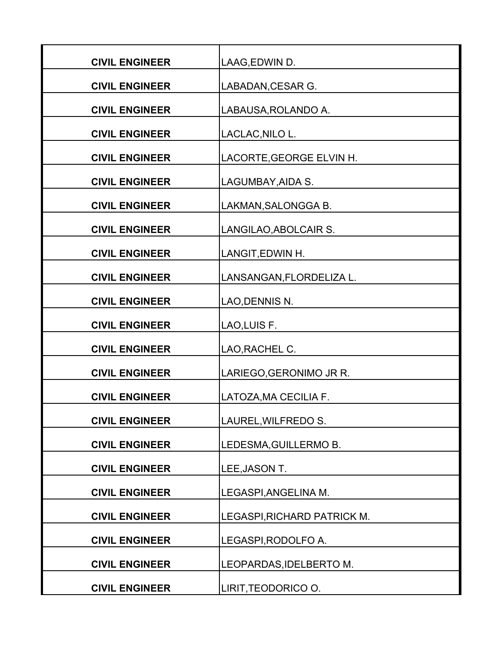| <b>CIVIL ENGINEER</b> | LAAG, EDWIN D.              |
|-----------------------|-----------------------------|
| <b>CIVIL ENGINEER</b> | LABADAN, CESAR G.           |
| <b>CIVIL ENGINEER</b> | LABAUSA, ROLANDO A.         |
| <b>CIVIL ENGINEER</b> | LACLAC, NILO L.             |
| <b>CIVIL ENGINEER</b> | LACORTE, GEORGE ELVIN H.    |
| <b>CIVIL ENGINEER</b> | LAGUMBAY, AIDA S.           |
| <b>CIVIL ENGINEER</b> | LAKMAN, SALONGGA B.         |
| <b>CIVIL ENGINEER</b> | LANGILAO, ABOLCAIR S.       |
| <b>CIVIL ENGINEER</b> | LANGIT, EDWIN H.            |
| <b>CIVIL ENGINEER</b> | LANSANGAN, FLORDELIZA L.    |
| <b>CIVIL ENGINEER</b> | LAO, DENNIS N.              |
| <b>CIVIL ENGINEER</b> | LAO, LUIS F.                |
| <b>CIVIL ENGINEER</b> | LAO, RACHEL C.              |
| <b>CIVIL ENGINEER</b> | LARIEGO, GERONIMO JR R.     |
| <b>CIVIL ENGINEER</b> | LATOZA, MA CECILIA F.       |
| <b>CIVIL ENGINEER</b> | LAUREL, WILFREDO S.         |
| <b>CIVIL ENGINEER</b> | LEDESMA, GUILLERMO B.       |
| <b>CIVIL ENGINEER</b> | LEE, JASON T.               |
| <b>CIVIL ENGINEER</b> | LEGASPI, ANGELINA M.        |
| <b>CIVIL ENGINEER</b> | LEGASPI, RICHARD PATRICK M. |
| <b>CIVIL ENGINEER</b> | LEGASPI, RODOLFO A.         |
| <b>CIVIL ENGINEER</b> | LEOPARDAS, IDELBERTO M.     |
| <b>CIVIL ENGINEER</b> | LIRIT, TEODORICO O.         |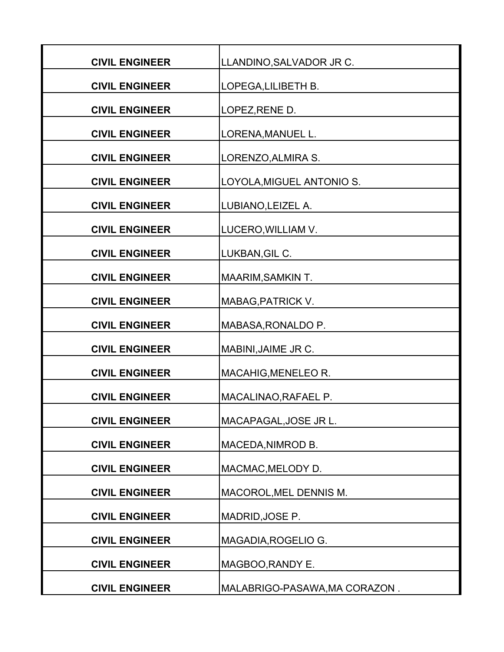| <b>CIVIL ENGINEER</b> | LLANDINO, SALVADOR JR C.      |
|-----------------------|-------------------------------|
| <b>CIVIL ENGINEER</b> | LOPEGA, LILIBETH B.           |
| <b>CIVIL ENGINEER</b> | LOPEZ, RENE D.                |
| <b>CIVIL ENGINEER</b> | LORENA, MANUEL L.             |
| <b>CIVIL ENGINEER</b> | LORENZO, ALMIRA S.            |
| <b>CIVIL ENGINEER</b> | LOYOLA, MIGUEL ANTONIO S.     |
| <b>CIVIL ENGINEER</b> | LUBIANO, LEIZEL A.            |
| <b>CIVIL ENGINEER</b> | LUCERO, WILLIAM V.            |
| <b>CIVIL ENGINEER</b> | LUKBAN, GIL C.                |
| <b>CIVIL ENGINEER</b> | <b>MAARIM, SAMKIN T.</b>      |
| <b>CIVIL ENGINEER</b> | MABAG, PATRICK V.             |
| <b>CIVIL ENGINEER</b> | MABASA, RONALDO P.            |
| <b>CIVIL ENGINEER</b> | MABINI, JAIME JR C.           |
| <b>CIVIL ENGINEER</b> | MACAHIG, MENELEO R.           |
| <b>CIVIL ENGINEER</b> | MACALINAO, RAFAEL P.          |
| <b>CIVIL ENGINEER</b> | MACAPAGAL, JOSE JR L.         |
| <b>CIVIL ENGINEER</b> | MACEDA, NIMROD B.             |
| <b>CIVIL ENGINEER</b> | MACMAC, MELODY D.             |
| <b>CIVIL ENGINEER</b> | MACOROL, MEL DENNIS M.        |
| <b>CIVIL ENGINEER</b> | MADRID, JOSE P.               |
| <b>CIVIL ENGINEER</b> | MAGADIA, ROGELIO G.           |
| <b>CIVIL ENGINEER</b> | MAGBOO, RANDY E.              |
| <b>CIVIL ENGINEER</b> | MALABRIGO-PASAWA, MA CORAZON. |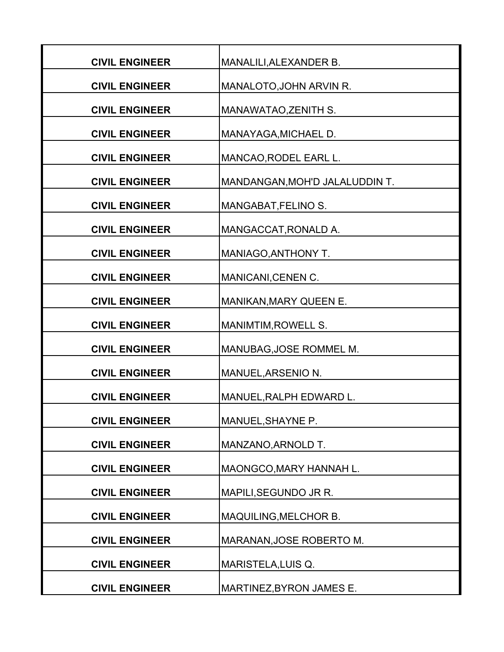| <b>CIVIL ENGINEER</b> | MANALILI, ALEXANDER B.         |
|-----------------------|--------------------------------|
| <b>CIVIL ENGINEER</b> | MANALOTO, JOHN ARVIN R.        |
| <b>CIVIL ENGINEER</b> | MANAWATAO, ZENITH S.           |
| <b>CIVIL ENGINEER</b> | MANAYAGA, MICHAEL D.           |
| <b>CIVIL ENGINEER</b> | MANCAO, RODEL EARL L.          |
| <b>CIVIL ENGINEER</b> | MANDANGAN, MOH'D JALALUDDIN T. |
| <b>CIVIL ENGINEER</b> | MANGABAT, FELINO S.            |
| <b>CIVIL ENGINEER</b> | MANGACCAT, RONALD A.           |
| <b>CIVIL ENGINEER</b> | MANIAGO, ANTHONY T.            |
| <b>CIVIL ENGINEER</b> | MANICANI, CENEN C.             |
| <b>CIVIL ENGINEER</b> | MANIKAN, MARY QUEEN E.         |
| <b>CIVIL ENGINEER</b> | MANIMTIM, ROWELL S.            |
| <b>CIVIL ENGINEER</b> | MANUBAG, JOSE ROMMEL M.        |
| <b>CIVIL ENGINEER</b> | MANUEL, ARSENIO N.             |
| <b>CIVIL ENGINEER</b> | MANUEL, RALPH EDWARD L.        |
| <b>CIVIL ENGINEER</b> | MANUEL, SHAYNE P.              |
| <b>CIVIL ENGINEER</b> | MANZANO, ARNOLD T.             |
| <b>CIVIL ENGINEER</b> | MAONGCO, MARY HANNAH L.        |
| <b>CIVIL ENGINEER</b> | MAPILI, SEGUNDO JR R.          |
| <b>CIVIL ENGINEER</b> | MAQUILING, MELCHOR B.          |
| <b>CIVIL ENGINEER</b> | MARANAN, JOSE ROBERTO M.       |
| <b>CIVIL ENGINEER</b> | <b>MARISTELA, LUIS Q.</b>      |
| <b>CIVIL ENGINEER</b> | MARTINEZ, BYRON JAMES E.       |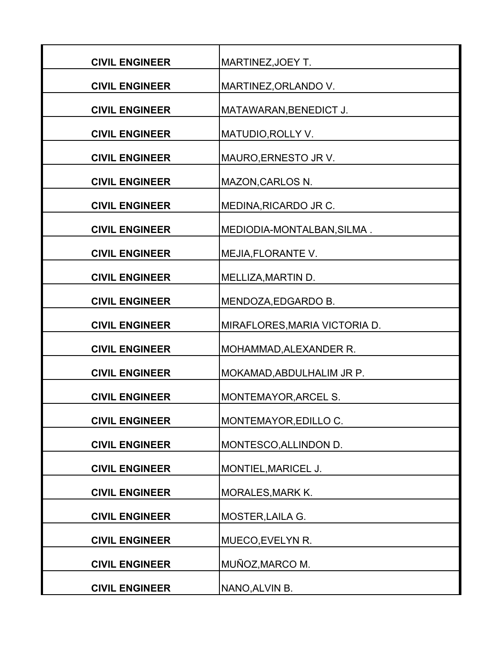| <b>CIVIL ENGINEER</b> | MARTINEZ, JOEY T.             |
|-----------------------|-------------------------------|
| <b>CIVIL ENGINEER</b> | MARTINEZ, ORLANDO V.          |
| <b>CIVIL ENGINEER</b> | MATAWARAN, BENEDICT J.        |
| <b>CIVIL ENGINEER</b> | MATUDIO, ROLLY V.             |
| <b>CIVIL ENGINEER</b> | MAURO, ERNESTO JR V.          |
| <b>CIVIL ENGINEER</b> | <b>MAZON, CARLOS N.</b>       |
| <b>CIVIL ENGINEER</b> | MEDINA, RICARDO JR C.         |
| <b>CIVIL ENGINEER</b> | MEDIODIA-MONTALBAN, SILMA.    |
| <b>CIVIL ENGINEER</b> | MEJIA, FLORANTE V.            |
| <b>CIVIL ENGINEER</b> | MELLIZA, MARTIN D.            |
| <b>CIVIL ENGINEER</b> | MENDOZA, EDGARDO B.           |
| <b>CIVIL ENGINEER</b> | MIRAFLORES, MARIA VICTORIA D. |
| <b>CIVIL ENGINEER</b> | MOHAMMAD, ALEXANDER R.        |
| <b>CIVIL ENGINEER</b> | MOKAMAD, ABDULHALIM JR P.     |
| <b>CIVIL ENGINEER</b> | MONTEMAYOR, ARCEL S.          |
| <b>CIVIL ENGINEER</b> | MONTEMAYOR, EDILLO C.         |
| <b>CIVIL ENGINEER</b> | MONTESCO, ALLINDON D.         |
| <b>CIVIL ENGINEER</b> | MONTIEL, MARICEL J.           |
| <b>CIVIL ENGINEER</b> | <b>MORALES, MARK K.</b>       |
| <b>CIVIL ENGINEER</b> | MOSTER, LAILA G.              |
| <b>CIVIL ENGINEER</b> | MUECO, EVELYN R.              |
| <b>CIVIL ENGINEER</b> | MUÑOZ, MARCO M.               |
| <b>CIVIL ENGINEER</b> | NANO, ALVIN B.                |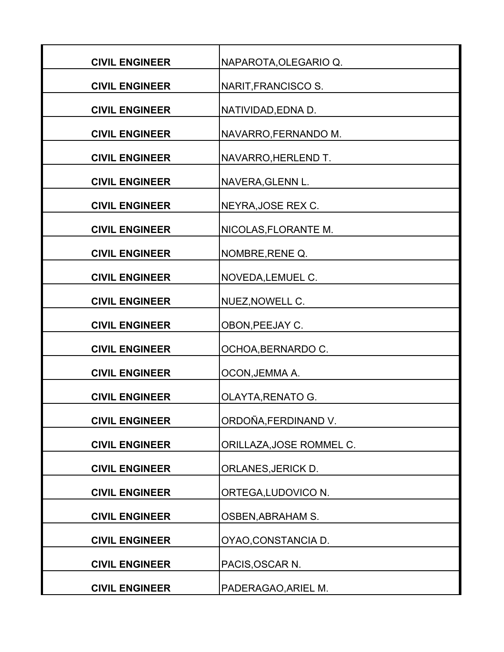| <b>CIVIL ENGINEER</b> | NAPAROTA, OLEGARIO Q.    |
|-----------------------|--------------------------|
| <b>CIVIL ENGINEER</b> | NARIT, FRANCISCO S.      |
| <b>CIVIL ENGINEER</b> | NATIVIDAD, EDNA D.       |
| <b>CIVIL ENGINEER</b> | NAVARRO, FERNANDO M.     |
| <b>CIVIL ENGINEER</b> | NAVARRO, HERLEND T.      |
| <b>CIVIL ENGINEER</b> | NAVERA, GLENN L.         |
| <b>CIVIL ENGINEER</b> | NEYRA, JOSE REX C.       |
| <b>CIVIL ENGINEER</b> | NICOLAS, FLORANTE M.     |
| <b>CIVIL ENGINEER</b> | NOMBRE, RENE Q.          |
| <b>CIVIL ENGINEER</b> | NOVEDA, LEMUEL C.        |
| <b>CIVIL ENGINEER</b> | NUEZ, NOWELL C.          |
| <b>CIVIL ENGINEER</b> | OBON, PEEJAY C.          |
| <b>CIVIL ENGINEER</b> | OCHOA, BERNARDO C.       |
| <b>CIVIL ENGINEER</b> | OCON, JEMMA A.           |
| <b>CIVIL ENGINEER</b> | <b>OLAYTA, RENATO G.</b> |
| <b>CIVIL ENGINEER</b> | ORDOÑA, FERDINAND V.     |
| <b>CIVIL ENGINEER</b> | ORILLAZA, JOSE ROMMEL C. |
| <b>CIVIL ENGINEER</b> | ORLANES, JERICK D.       |
| <b>CIVIL ENGINEER</b> | ORTEGA, LUDOVICO N.      |
| <b>CIVIL ENGINEER</b> | <b>OSBEN, ABRAHAM S.</b> |
| <b>CIVIL ENGINEER</b> | OYAO, CONSTANCIA D.      |
| <b>CIVIL ENGINEER</b> | PACIS, OSCAR N.          |
| <b>CIVIL ENGINEER</b> | PADERAGAO, ARIEL M.      |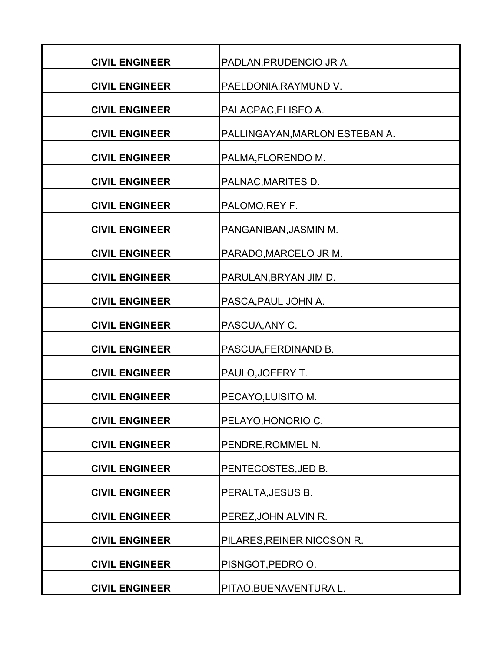| <b>CIVIL ENGINEER</b> | PADLAN, PRUDENCIO JR A.        |
|-----------------------|--------------------------------|
| <b>CIVIL ENGINEER</b> | PAELDONIA, RAYMUND V.          |
| <b>CIVIL ENGINEER</b> | PALACPAC, ELISEO A.            |
| <b>CIVIL ENGINEER</b> | PALLINGAYAN, MARLON ESTEBAN A. |
| <b>CIVIL ENGINEER</b> | PALMA, FLORENDO M.             |
| <b>CIVIL ENGINEER</b> | PALNAC, MARITES D.             |
| <b>CIVIL ENGINEER</b> | PALOMO, REY F.                 |
| <b>CIVIL ENGINEER</b> | PANGANIBAN, JASMIN M.          |
| <b>CIVIL ENGINEER</b> | PARADO, MARCELO JR M.          |
| <b>CIVIL ENGINEER</b> | PARULAN, BRYAN JIM D.          |
| <b>CIVIL ENGINEER</b> | PASCA, PAUL JOHN A.            |
| <b>CIVIL ENGINEER</b> | PASCUA, ANY C.                 |
| <b>CIVIL ENGINEER</b> | PASCUA, FERDINAND B.           |
| <b>CIVIL ENGINEER</b> | PAULO, JOEFRY T.               |
| <b>CIVIL ENGINEER</b> | PECAYO, LUISITO M.             |
| <b>CIVIL ENGINEER</b> | PELAYO, HONORIO C.             |
| <b>CIVIL ENGINEER</b> | PENDRE, ROMMEL N.              |
| <b>CIVIL ENGINEER</b> | PENTECOSTES, JED B.            |
| <b>CIVIL ENGINEER</b> | PERALTA, JESUS B.              |
| <b>CIVIL ENGINEER</b> | PEREZ, JOHN ALVIN R.           |
| <b>CIVIL ENGINEER</b> | PILARES, REINER NICCSON R.     |
| <b>CIVIL ENGINEER</b> | PISNGOT, PEDRO O.              |
| <b>CIVIL ENGINEER</b> | PITAO, BUENAVENTURA L.         |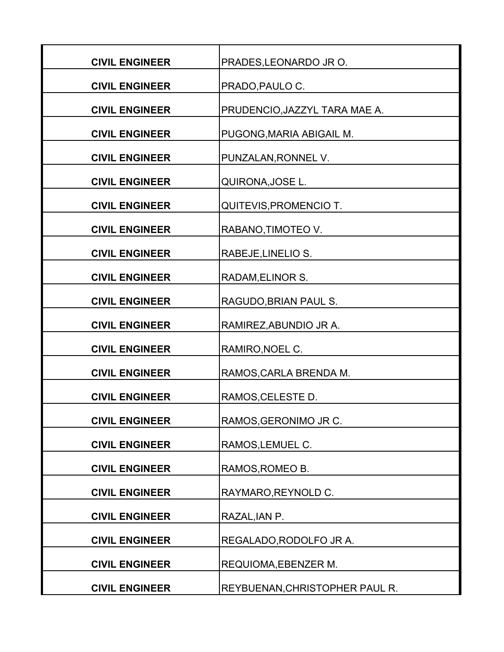| <b>CIVIL ENGINEER</b> | PRADES, LEONARDO JR O.         |
|-----------------------|--------------------------------|
| <b>CIVIL ENGINEER</b> | PRADO, PAULO C.                |
| <b>CIVIL ENGINEER</b> | PRUDENCIO, JAZZYL TARA MAE A.  |
| <b>CIVIL ENGINEER</b> | PUGONG, MARIA ABIGAIL M.       |
| <b>CIVIL ENGINEER</b> | PUNZALAN, RONNEL V.            |
| <b>CIVIL ENGINEER</b> | QUIRONA, JOSE L.               |
| <b>CIVIL ENGINEER</b> | QUITEVIS, PROMENCIO T.         |
| <b>CIVIL ENGINEER</b> | RABANO, TIMOTEO V.             |
| <b>CIVIL ENGINEER</b> | RABEJE, LINELIO S.             |
| <b>CIVIL ENGINEER</b> | RADAM, ELINOR S.               |
| <b>CIVIL ENGINEER</b> | RAGUDO, BRIAN PAUL S.          |
| <b>CIVIL ENGINEER</b> | RAMIREZ, ABUNDIO JR A.         |
| <b>CIVIL ENGINEER</b> | RAMIRO, NOEL C.                |
| <b>CIVIL ENGINEER</b> | RAMOS, CARLA BRENDA M.         |
| <b>CIVIL ENGINEER</b> | RAMOS, CELESTE D.              |
| <b>CIVIL ENGINEER</b> | RAMOS, GERONIMO JR C.          |
| <b>CIVIL ENGINEER</b> | RAMOS, LEMUEL C.               |
| <b>CIVIL ENGINEER</b> | RAMOS, ROMEO B.                |
| <b>CIVIL ENGINEER</b> | RAYMARO, REYNOLD C.            |
| <b>CIVIL ENGINEER</b> | RAZAL, IAN P.                  |
| <b>CIVIL ENGINEER</b> | REGALADO, RODOLFO JR A.        |
| <b>CIVIL ENGINEER</b> | <b>REQUIOMA, EBENZER M.</b>    |
| <b>CIVIL ENGINEER</b> | REYBUENAN, CHRISTOPHER PAUL R. |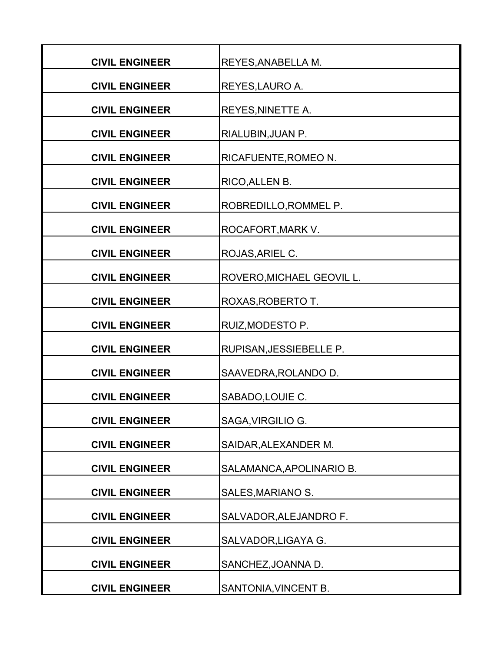| <b>CIVIL ENGINEER</b> | <b>REYES, ANABELLA M.</b>   |
|-----------------------|-----------------------------|
| <b>CIVIL ENGINEER</b> | REYES, LAURO A.             |
| <b>CIVIL ENGINEER</b> | <b>REYES, NINETTE A.</b>    |
| <b>CIVIL ENGINEER</b> | RIALUBIN, JUAN P.           |
| <b>CIVIL ENGINEER</b> | <b>RICAFUENTE, ROMEO N.</b> |
| <b>CIVIL ENGINEER</b> | RICO, ALLEN B.              |
| <b>CIVIL ENGINEER</b> | ROBREDILLO, ROMMEL P.       |
| <b>CIVIL ENGINEER</b> | ROCAFORT, MARK V.           |
| <b>CIVIL ENGINEER</b> | ROJAS, ARIEL C.             |
| <b>CIVIL ENGINEER</b> | ROVERO, MICHAEL GEOVIL L.   |
| <b>CIVIL ENGINEER</b> | ROXAS, ROBERTO T.           |
| <b>CIVIL ENGINEER</b> | RUIZ, MODESTO P.            |
| <b>CIVIL ENGINEER</b> | RUPISAN, JESSIEBELLE P.     |
| <b>CIVIL ENGINEER</b> | SAAVEDRA, ROLANDO D.        |
| <b>CIVIL ENGINEER</b> | SABADO, LOUIE C.            |
| <b>CIVIL ENGINEER</b> | SAGA, VIRGILIO G.           |
| <b>CIVIL ENGINEER</b> | SAIDAR, ALEXANDER M.        |
| <b>CIVIL ENGINEER</b> | SALAMANCA, APOLINARIO B.    |
| <b>CIVIL ENGINEER</b> | SALES, MARIANO S.           |
| <b>CIVIL ENGINEER</b> | SALVADOR, ALEJANDRO F.      |
| <b>CIVIL ENGINEER</b> | SALVADOR, LIGAYA G.         |
| <b>CIVIL ENGINEER</b> | SANCHEZ, JOANNA D.          |
| <b>CIVIL ENGINEER</b> | SANTONIA, VINCENT B.        |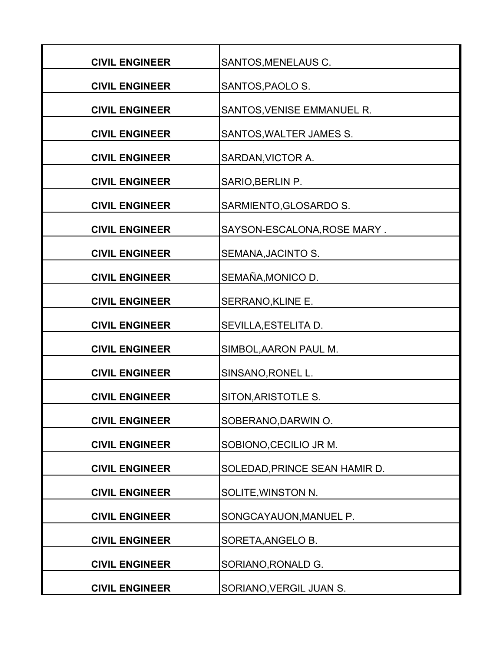| <b>CIVIL ENGINEER</b> | SANTOS, MENELAUS C.           |
|-----------------------|-------------------------------|
| <b>CIVIL ENGINEER</b> | SANTOS, PAOLO S.              |
| <b>CIVIL ENGINEER</b> | SANTOS, VENISE EMMANUEL R.    |
| <b>CIVIL ENGINEER</b> | SANTOS, WALTER JAMES S.       |
| <b>CIVIL ENGINEER</b> | SARDAN, VICTOR A.             |
| <b>CIVIL ENGINEER</b> | SARIO, BERLIN P.              |
| <b>CIVIL ENGINEER</b> | SARMIENTO, GLOSARDO S.        |
| <b>CIVIL ENGINEER</b> | SAYSON-ESCALONA, ROSE MARY.   |
| <b>CIVIL ENGINEER</b> | SEMANA, JACINTO S.            |
| <b>CIVIL ENGINEER</b> | SEMAÑA, MONICO D.             |
| <b>CIVIL ENGINEER</b> | SERRANO, KLINE E.             |
| <b>CIVIL ENGINEER</b> | SEVILLA, ESTELITA D.          |
| <b>CIVIL ENGINEER</b> | SIMBOL, AARON PAUL M.         |
| <b>CIVIL ENGINEER</b> | SINSANO, RONEL L.             |
| <b>CIVIL ENGINEER</b> | SITON, ARISTOTLE S.           |
| <b>CIVIL ENGINEER</b> | SOBERANO, DARWIN O.           |
| <b>CIVIL ENGINEER</b> | SOBIONO, CECILIO JR M.        |
| <b>CIVIL ENGINEER</b> | SOLEDAD, PRINCE SEAN HAMIR D. |
| <b>CIVIL ENGINEER</b> | SOLITE, WINSTON N.            |
| <b>CIVIL ENGINEER</b> |                               |
|                       | SONGCAYAUON, MANUEL P.        |
| <b>CIVIL ENGINEER</b> | SORETA, ANGELO B.             |
| <b>CIVIL ENGINEER</b> | SORIANO, RONALD G.            |
| <b>CIVIL ENGINEER</b> | SORIANO, VERGIL JUAN S.       |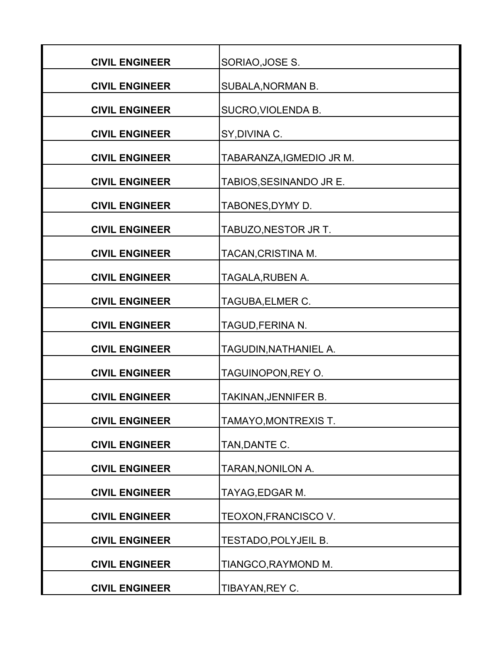| <b>CIVIL ENGINEER</b> | SORIAO, JOSE S.          |
|-----------------------|--------------------------|
| <b>CIVIL ENGINEER</b> | SUBALA, NORMAN B.        |
| <b>CIVIL ENGINEER</b> | SUCRO, VIOLENDA B.       |
| <b>CIVIL ENGINEER</b> | SY, DIVINA C.            |
| <b>CIVIL ENGINEER</b> | TABARANZA, IGMEDIO JR M. |
| <b>CIVIL ENGINEER</b> | TABIOS, SESINANDO JR E.  |
| <b>CIVIL ENGINEER</b> | TABONES, DYMY D.         |
| <b>CIVIL ENGINEER</b> | TABUZO, NESTOR JR T.     |
| <b>CIVIL ENGINEER</b> | TACAN, CRISTINA M.       |
| <b>CIVIL ENGINEER</b> | TAGALA, RUBEN A.         |
| <b>CIVIL ENGINEER</b> | TAGUBA, ELMER C.         |
| <b>CIVIL ENGINEER</b> | TAGUD, FERINA N.         |
| <b>CIVIL ENGINEER</b> | TAGUDIN, NATHANIEL A.    |
| <b>CIVIL ENGINEER</b> | TAGUINOPON, REY O.       |
| <b>CIVIL ENGINEER</b> | TAKINAN, JENNIFER B.     |
| <b>CIVIL ENGINEER</b> | TAMAYO,MONTREXIS T.      |
| <b>CIVIL ENGINEER</b> | TAN, DANTE C.            |
| <b>CIVIL ENGINEER</b> | TARAN, NONILON A.        |
| <b>CIVIL ENGINEER</b> | TAYAG, EDGAR M.          |
| <b>CIVIL ENGINEER</b> | TEOXON, FRANCISCO V.     |
| <b>CIVIL ENGINEER</b> | TESTADO, POLYJEIL B.     |
| <b>CIVIL ENGINEER</b> | TIANGCO, RAYMOND M.      |
| <b>CIVIL ENGINEER</b> | TIBAYAN, REY C.          |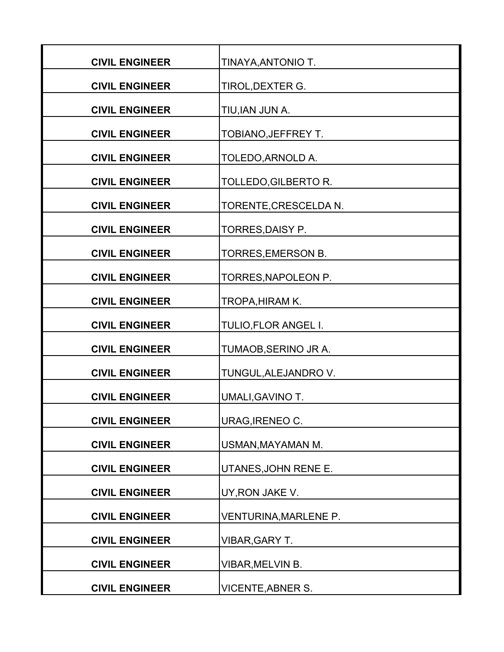| <b>CIVIL ENGINEER</b> | TINAYA, ANTONIO T.       |
|-----------------------|--------------------------|
| <b>CIVIL ENGINEER</b> | TIROL, DEXTER G.         |
| <b>CIVIL ENGINEER</b> | TIU, IAN JUN A.          |
| <b>CIVIL ENGINEER</b> | TOBIANO, JEFFREY T.      |
| <b>CIVIL ENGINEER</b> | TOLEDO, ARNOLD A.        |
| <b>CIVIL ENGINEER</b> | TOLLEDO, GILBERTO R.     |
| <b>CIVIL ENGINEER</b> | TORENTE, CRESCELDA N.    |
| <b>CIVIL ENGINEER</b> | TORRES, DAISY P.         |
| <b>CIVIL ENGINEER</b> | TORRES, EMERSON B.       |
| <b>CIVIL ENGINEER</b> | TORRES, NAPOLEON P.      |
| <b>CIVIL ENGINEER</b> | <b>TROPA, HIRAM K.</b>   |
| <b>CIVIL ENGINEER</b> | TULIO, FLOR ANGEL I.     |
| <b>CIVIL ENGINEER</b> | TUMAOB, SERINO JR A.     |
| <b>CIVIL ENGINEER</b> | TUNGUL, ALEJANDRO V.     |
| <b>CIVIL ENGINEER</b> | UMALI, GAVINO T.         |
| <b>CIVIL ENGINEER</b> | URAG, IRENEO C.          |
| <b>CIVIL ENGINEER</b> | USMAN, MAYAMAN M.        |
| <b>CIVIL ENGINEER</b> | UTANES, JOHN RENE E.     |
| <b>CIVIL ENGINEER</b> | UY, RON JAKE V.          |
| <b>CIVIL ENGINEER</b> | VENTURINA, MARLENE P.    |
| <b>CIVIL ENGINEER</b> | <b>VIBAR, GARY T.</b>    |
| <b>CIVIL ENGINEER</b> | VIBAR, MELVIN B.         |
| <b>CIVIL ENGINEER</b> | <b>VICENTE, ABNER S.</b> |